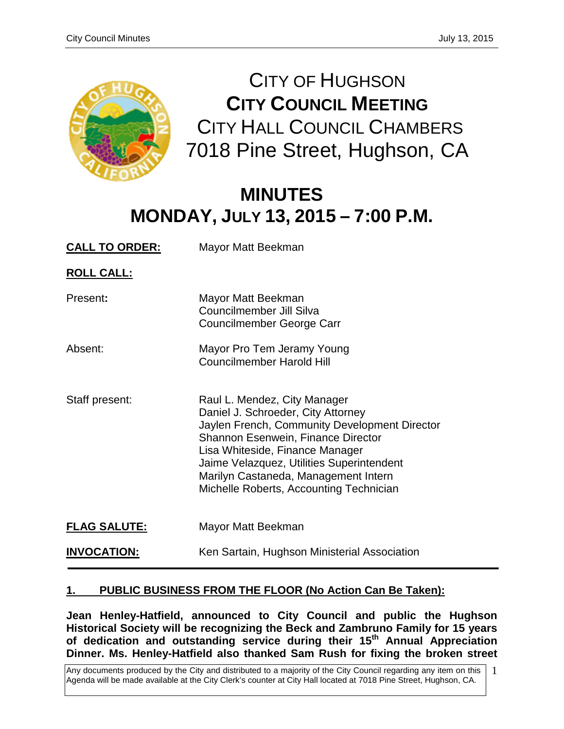

CITY OF HUGHSON **CITY COUNCIL MEETING** CITY HALL COUNCIL CHAMBERS 7018 Pine Street, Hughson, CA

# **MINUTES MONDAY, JULY 13, 2015 – 7:00 P.M.**

| <b>CALL TO ORDER:</b> | Mayor Matt Beekman                                                                                                                                                                                                                                                                                                           |
|-----------------------|------------------------------------------------------------------------------------------------------------------------------------------------------------------------------------------------------------------------------------------------------------------------------------------------------------------------------|
| <b>ROLL CALL:</b>     |                                                                                                                                                                                                                                                                                                                              |
| Present:              | Mayor Matt Beekman<br>Councilmember Jill Silva<br>Councilmember George Carr                                                                                                                                                                                                                                                  |
| Absent:               | Mayor Pro Tem Jeramy Young<br><b>Councilmember Harold Hill</b>                                                                                                                                                                                                                                                               |
| Staff present:        | Raul L. Mendez, City Manager<br>Daniel J. Schroeder, City Attorney<br>Jaylen French, Community Development Director<br>Shannon Esenwein, Finance Director<br>Lisa Whiteside, Finance Manager<br>Jaime Velazquez, Utilities Superintendent<br>Marilyn Castaneda, Management Intern<br>Michelle Roberts, Accounting Technician |
| <b>FLAG SALUTE:</b>   | Mayor Matt Beekman                                                                                                                                                                                                                                                                                                           |
| <b>INVOCATION:</b>    | Ken Sartain, Hughson Ministerial Association                                                                                                                                                                                                                                                                                 |

# **1. PUBLIC BUSINESS FROM THE FLOOR (No Action Can Be Taken):**

**Jean Henley-Hatfield, announced to City Council and public the Hughson Historical Society will be recognizing the Beck and Zambruno Family for 15 years of dedication and outstanding service during their 15th Annual Appreciation Dinner. Ms. Henley-Hatfield also thanked Sam Rush for fixing the broken street** 

Any documents produced by the City and distributed to a majority of the City Council regarding any item on this Agenda will be made available at the City Clerk's counter at City Hall located at 7018 Pine Street, Hughson, CA.

<sup>1</sup>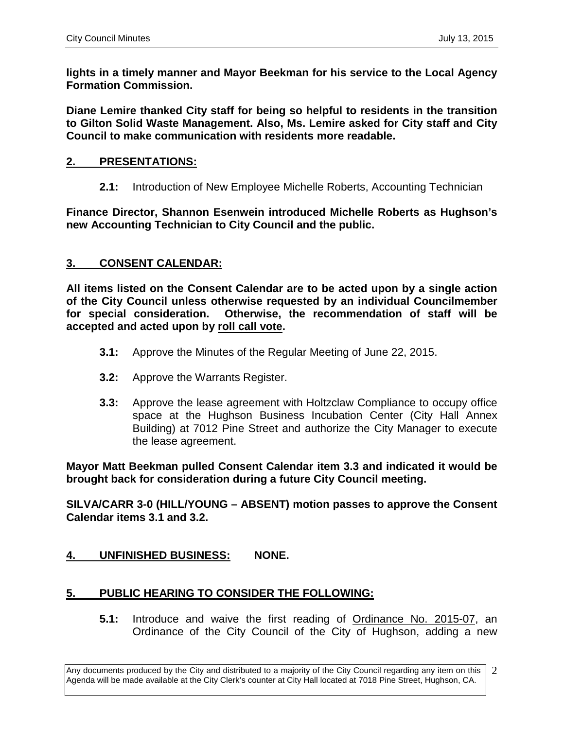**lights in a timely manner and Mayor Beekman for his service to the Local Agency Formation Commission.**

**Diane Lemire thanked City staff for being so helpful to residents in the transition to Gilton Solid Waste Management. Also, Ms. Lemire asked for City staff and City Council to make communication with residents more readable.** 

#### **2. PRESENTATIONS:**

**2.1:** Introduction of New Employee Michelle Roberts, Accounting Technician

**Finance Director, Shannon Esenwein introduced Michelle Roberts as Hughson's new Accounting Technician to City Council and the public.** 

#### **3. CONSENT CALENDAR:**

**All items listed on the Consent Calendar are to be acted upon by a single action of the City Council unless otherwise requested by an individual Councilmember for special consideration. Otherwise, the recommendation of staff will be accepted and acted upon by roll call vote.**

- **3.1:** Approve the Minutes of the Regular Meeting of June 22, 2015.
- **3.2:** Approve the Warrants Register.
- **3.3:** Approve the lease agreement with Holtzclaw Compliance to occupy office space at the Hughson Business Incubation Center (City Hall Annex Building) at 7012 Pine Street and authorize the City Manager to execute the lease agreement.

**Mayor Matt Beekman pulled Consent Calendar item 3.3 and indicated it would be brought back for consideration during a future City Council meeting.**

**SILVA/CARR 3-0 (HILL/YOUNG – ABSENT) motion passes to approve the Consent Calendar items 3.1 and 3.2.**

## **4. UNFINISHED BUSINESS: NONE.**

## **5. PUBLIC HEARING TO CONSIDER THE FOLLOWING:**

**5.1:** Introduce and waive the first reading of Ordinance No. 2015-07, an Ordinance of the City Council of the City of Hughson, adding a new

Any documents produced by the City and distributed to a majority of the City Council regarding any item on this Agenda will be made available at the City Clerk's counter at City Hall located at 7018 Pine Street, Hughson, CA. 2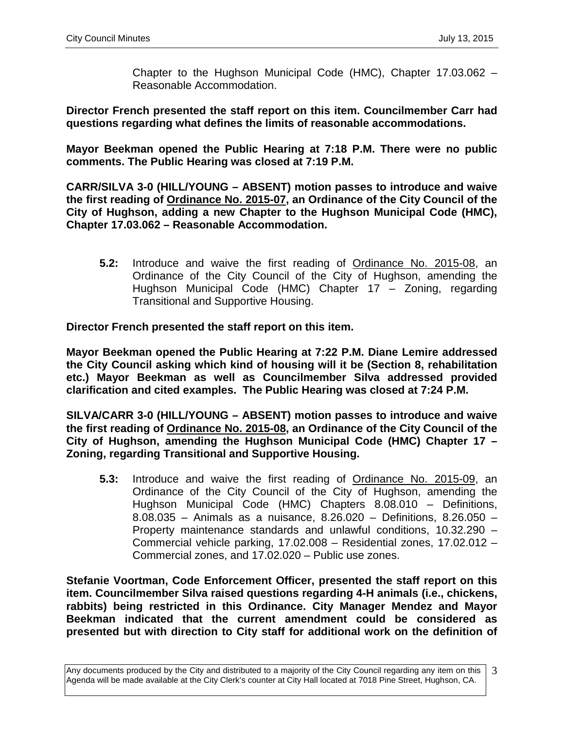Chapter to the Hughson Municipal Code (HMC), Chapter 17.03.062 – Reasonable Accommodation.

**Director French presented the staff report on this item. Councilmember Carr had questions regarding what defines the limits of reasonable accommodations.**

**Mayor Beekman opened the Public Hearing at 7:18 P.M. There were no public comments. The Public Hearing was closed at 7:19 P.M.**

**CARR/SILVA 3-0 (HILL/YOUNG – ABSENT) motion passes to introduce and waive the first reading of Ordinance No. 2015-07, an Ordinance of the City Council of the City of Hughson, adding a new Chapter to the Hughson Municipal Code (HMC), Chapter 17.03.062 – Reasonable Accommodation.**

**5.2:** Introduce and waive the first reading of Ordinance No. 2015-08, an Ordinance of the City Council of the City of Hughson, amending the Hughson Municipal Code (HMC) Chapter 17 – Zoning, regarding Transitional and Supportive Housing.

**Director French presented the staff report on this item.** 

**Mayor Beekman opened the Public Hearing at 7:22 P.M. Diane Lemire addressed the City Council asking which kind of housing will it be (Section 8, rehabilitation etc.) Mayor Beekman as well as Councilmember Silva addressed provided clarification and cited examples. The Public Hearing was closed at 7:24 P.M.**

**SILVA/CARR 3-0 (HILL/YOUNG – ABSENT) motion passes to introduce and waive the first reading of Ordinance No. 2015-08, an Ordinance of the City Council of the City of Hughson, amending the Hughson Municipal Code (HMC) Chapter 17 – Zoning, regarding Transitional and Supportive Housing.**

**5.3:** Introduce and waive the first reading of Ordinance No. 2015-09, an Ordinance of the City Council of the City of Hughson, amending the Hughson Municipal Code (HMC) Chapters 8.08.010 – Definitions, 8.08.035 – Animals as a nuisance, 8.26.020 – Definitions, 8.26.050 – Property maintenance standards and unlawful conditions, 10.32.290 – Commercial vehicle parking, 17.02.008 – Residential zones, 17.02.012 – Commercial zones, and 17.02.020 – Public use zones.

**Stefanie Voortman, Code Enforcement Officer, presented the staff report on this item. Councilmember Silva raised questions regarding 4-H animals (i.e., chickens, rabbits) being restricted in this Ordinance. City Manager Mendez and Mayor Beekman indicated that the current amendment could be considered as presented but with direction to City staff for additional work on the definition of** 

Any documents produced by the City and distributed to a majority of the City Council regarding any item on this Agenda will be made available at the City Clerk's counter at City Hall located at 7018 Pine Street, Hughson, CA. 3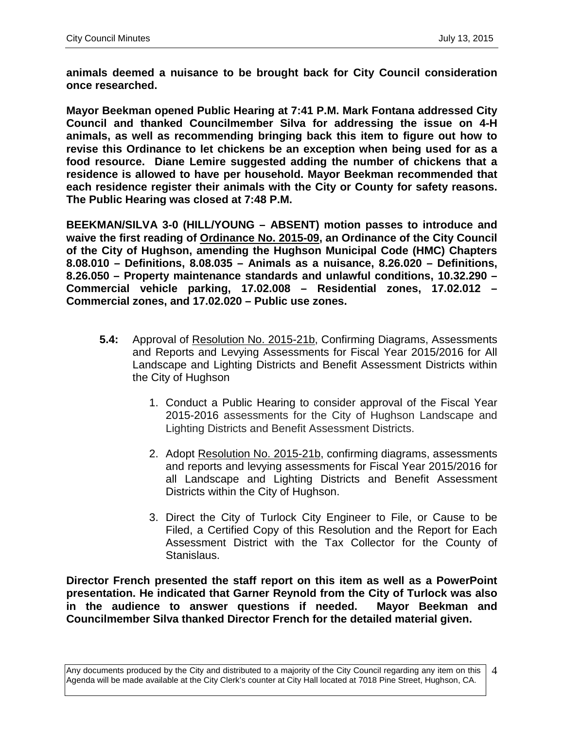**animals deemed a nuisance to be brought back for City Council consideration once researched.** 

**Mayor Beekman opened Public Hearing at 7:41 P.M. Mark Fontana addressed City Council and thanked Councilmember Silva for addressing the issue on 4-H animals, as well as recommending bringing back this item to figure out how to revise this Ordinance to let chickens be an exception when being used for as a food resource. Diane Lemire suggested adding the number of chickens that a residence is allowed to have per household. Mayor Beekman recommended that each residence register their animals with the City or County for safety reasons. The Public Hearing was closed at 7:48 P.M.**

**BEEKMAN/SILVA 3-0 (HILL/YOUNG – ABSENT) motion passes to introduce and waive the first reading of Ordinance No. 2015-09, an Ordinance of the City Council of the City of Hughson, amending the Hughson Municipal Code (HMC) Chapters 8.08.010 – Definitions, 8.08.035 – Animals as a nuisance, 8.26.020 – Definitions, 8.26.050 – Property maintenance standards and unlawful conditions, 10.32.290 – Commercial vehicle parking, 17.02.008 – Residential zones, 17.02.012 – Commercial zones, and 17.02.020 – Public use zones.**

- **5.4:** Approval of Resolution No. 2015-21b, Confirming Diagrams, Assessments and Reports and Levying Assessments for Fiscal Year 2015/2016 for All Landscape and Lighting Districts and Benefit Assessment Districts within the City of Hughson
	- 1. Conduct a Public Hearing to consider approval of the Fiscal Year 2015-2016 assessments for the City of Hughson Landscape and Lighting Districts and Benefit Assessment Districts.
	- 2. Adopt Resolution No. 2015-21b, confirming diagrams, assessments and reports and levying assessments for Fiscal Year 2015/2016 for all Landscape and Lighting Districts and Benefit Assessment Districts within the City of Hughson.
	- 3. Direct the City of Turlock City Engineer to File, or Cause to be Filed, a Certified Copy of this Resolution and the Report for Each Assessment District with the Tax Collector for the County of Stanislaus.

**Director French presented the staff report on this item as well as a PowerPoint presentation. He indicated that Garner Reynold from the City of Turlock was also in the audience to answer questions if needed. Mayor Beekman and Councilmember Silva thanked Director French for the detailed material given.**

Any documents produced by the City and distributed to a majority of the City Council regarding any item on this Agenda will be made available at the City Clerk's counter at City Hall located at 7018 Pine Street, Hughson, CA. 4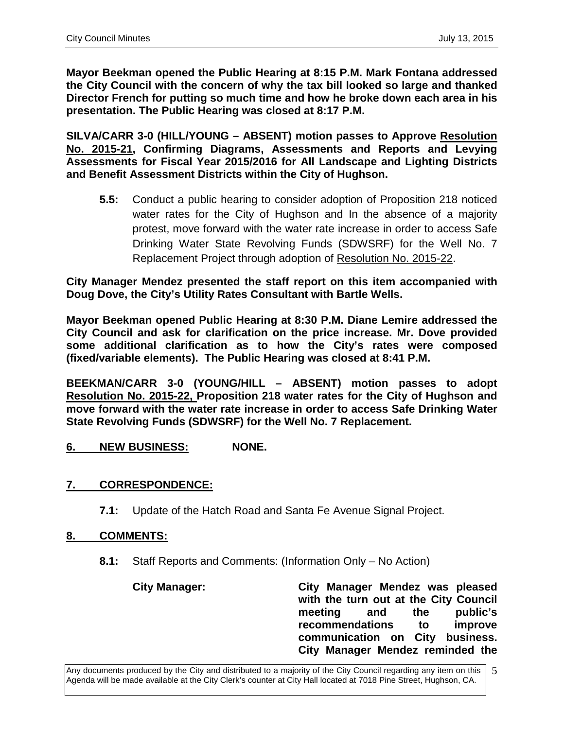**Mayor Beekman opened the Public Hearing at 8:15 P.M. Mark Fontana addressed the City Council with the concern of why the tax bill looked so large and thanked Director French for putting so much time and how he broke down each area in his presentation. The Public Hearing was closed at 8:17 P.M.**

**SILVA/CARR 3-0 (HILL/YOUNG – ABSENT) motion passes to Approve Resolution No. 2015-21, Confirming Diagrams, Assessments and Reports and Levying Assessments for Fiscal Year 2015/2016 for All Landscape and Lighting Districts and Benefit Assessment Districts within the City of Hughson.** 

**5.5:** Conduct a public hearing to consider adoption of Proposition 218 noticed water rates for the City of Hughson and In the absence of a majority protest, move forward with the water rate increase in order to access Safe Drinking Water State Revolving Funds (SDWSRF) for the Well No. 7 Replacement Project through adoption of Resolution No. 2015-22.

**City Manager Mendez presented the staff report on this item accompanied with Doug Dove, the City's Utility Rates Consultant with Bartle Wells.** 

**Mayor Beekman opened Public Hearing at 8:30 P.M. Diane Lemire addressed the City Council and ask for clarification on the price increase. Mr. Dove provided some additional clarification as to how the City's rates were composed (fixed/variable elements). The Public Hearing was closed at 8:41 P.M.**

**BEEKMAN/CARR 3-0 (YOUNG/HILL – ABSENT) motion passes to adopt Resolution No. 2015-22, Proposition 218 water rates for the City of Hughson and move forward with the water rate increase in order to access Safe Drinking Water State Revolving Funds (SDWSRF) for the Well No. 7 Replacement.**

**6. NEW BUSINESS: NONE.**

## **7. CORRESPONDENCE:**

**7.1:** Update of the Hatch Road and Santa Fe Avenue Signal Project.

## **8. COMMENTS:**

**8.1:** Staff Reports and Comments: (Information Only – No Action)

**City Manager: City Manager Mendez was pleased with the turn out at the City Council meeting and the public's recommendations to improve communication on City business. City Manager Mendez reminded the** 

Any documents produced by the City and distributed to a majority of the City Council regarding any item on this Agenda will be made available at the City Clerk's counter at City Hall located at 7018 Pine Street, Hughson, CA. 5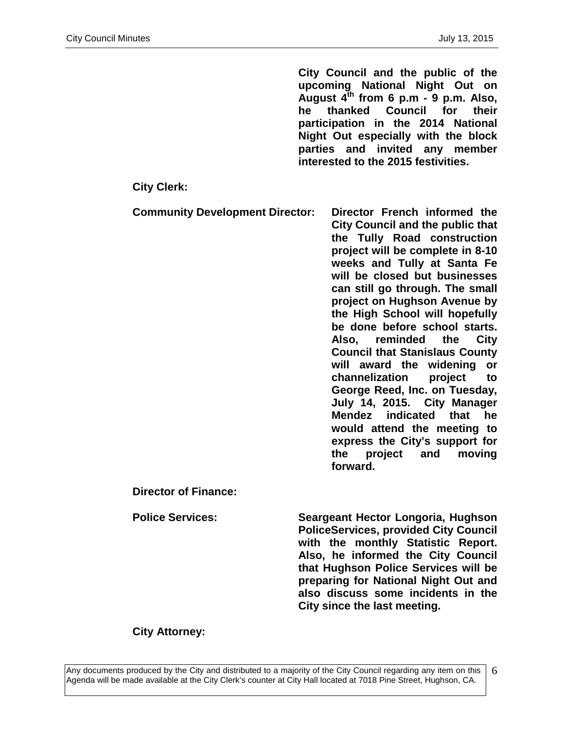**City Council and the public of the upcoming National Night Out on August 4th from 6 p.m - 9 p.m. Also, he thanked Council for their participation in the 2014 National Night Out especially with the block parties and invited any member interested to the 2015 festivities.** 

**City Clerk:**

**Community Development Director: Director French informed the City Council and the public that the Tully Road construction project will be complete in 8-10 weeks and Tully at Santa Fe will be closed but businesses can still go through. The small project on Hughson Avenue by the High School will hopefully be done before school starts. Also, reminded the City Council that Stanislaus County will award the widening or channelization project to George Reed, Inc. on Tuesday, July 14, 2015. City Manager Mendez indicated that he would attend the meeting to express the City's support for the project and moving forward.**

**Director of Finance:**

**Police Services: Seargeant Hector Longoria, Hughson PoliceServices, provided City Council with the monthly Statistic Report. Also, he informed the City Council that Hughson Police Services will be preparing for National Night Out and also discuss some incidents in the City since the last meeting.** 

**City Attorney:**

Any documents produced by the City and distributed to a majority of the City Council regarding any item on this Agenda will be made available at the City Clerk's counter at City Hall located at 7018 Pine Street, Hughson, CA.

6